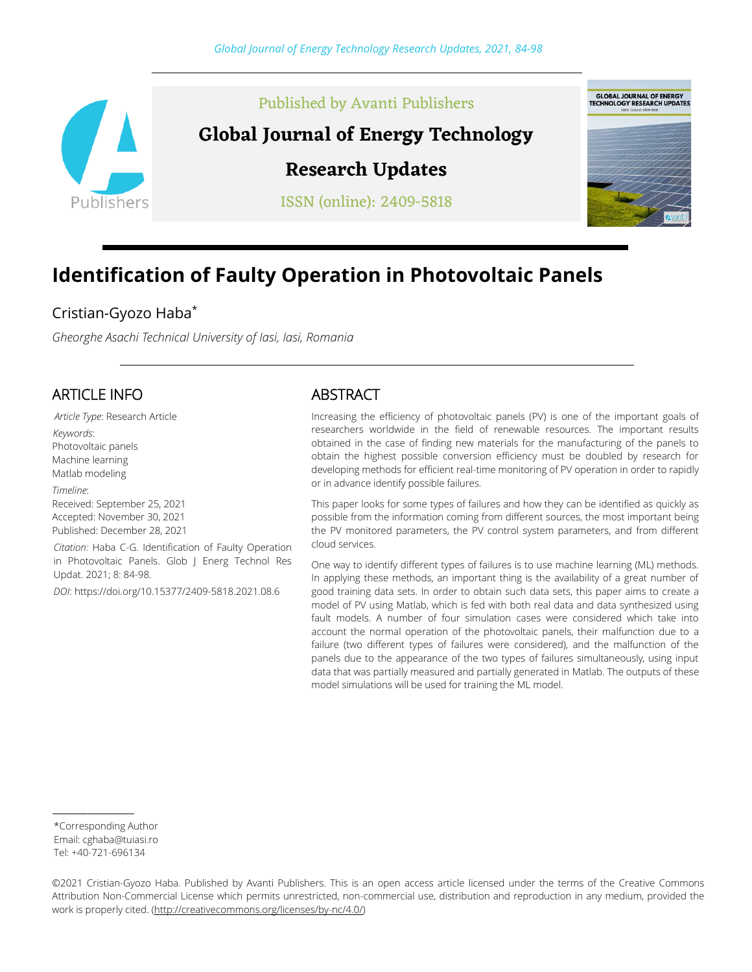

# Published by Avanti Publishers

# **Global Journal of Energy Technology**

# **Research Updates**

ISSN (online): 2409-5818



# **Identification of Faulty Operation in Photovoltaic Panels**

# Cristian-Gyozo Haba\*

*Gheorghe Asachi Technical University of Iasi, Iasi, Romania*

# ARTICLE INFO

*Article Type*: Research Article *Keywords*: Photovoltaic panels Machine learning Matlab modeling *Timeline*: Received: September 25, 2021 Accepted: November 30, 2021 Published: December 28, 2021

*Citation:* Haba C-G. Identification of Faulty Operation in Photovoltaic Panels. Glob J Energ Technol Res Updat. 2021; 8: 84-98.

*DOI*: https://doi.org/10.15377/2409-5818.2021.08.6

### ABSTRACT

Increasing the efficiency of photovoltaic panels (PV) is one of the important goals of researchers worldwide in the field of renewable resources. The important results obtained in the case of finding new materials for the manufacturing of the panels to obtain the highest possible conversion efficiency must be doubled by research for developing methods for efficient real-time monitoring of PV operation in order to rapidly or in advance identify possible failures.

This paper looks for some types of failures and how they can be identified as quickly as possible from the information coming from different sources, the most important being the PV monitored parameters, the PV control system parameters, and from different cloud services.

One way to identify different types of failures is to use machine learning (ML) methods. In applying these methods, an important thing is the availability of a great number of good training data sets. In order to obtain such data sets, this paper aims to create a model of PV using Matlab, which is fed with both real data and data synthesized using fault models. A number of four simulation cases were considered which take into account the normal operation of the photovoltaic panels, their malfunction due to a failure (two different types of failures were considered), and the malfunction of the panels due to the appearance of the two types of failures simultaneously, using input data that was partially measured and partially generated in Matlab. The outputs of these model simulations will be used for training the ML model.

\*Corresponding Author Email: cghaba@tuiasi.ro Tel: +40-721-696134

*\_\_\_\_\_\_\_\_\_\_\_\_\_\_\_\_\_\_\_\_\_*

©2021 Cristian-Gyozo Haba. Published by Avanti Publishers. This is an open access article licensed under the terms of the Creative Commons Attribution Non-Commercial License which permits unrestricted, non-commercial use, distribution and reproduction in any medium, provided the work is properly cited. [\(http://creativecommons.org/licenses/by-nc/4.0/\)](http://creativecommons.org/licenses/by-nc/4.0/)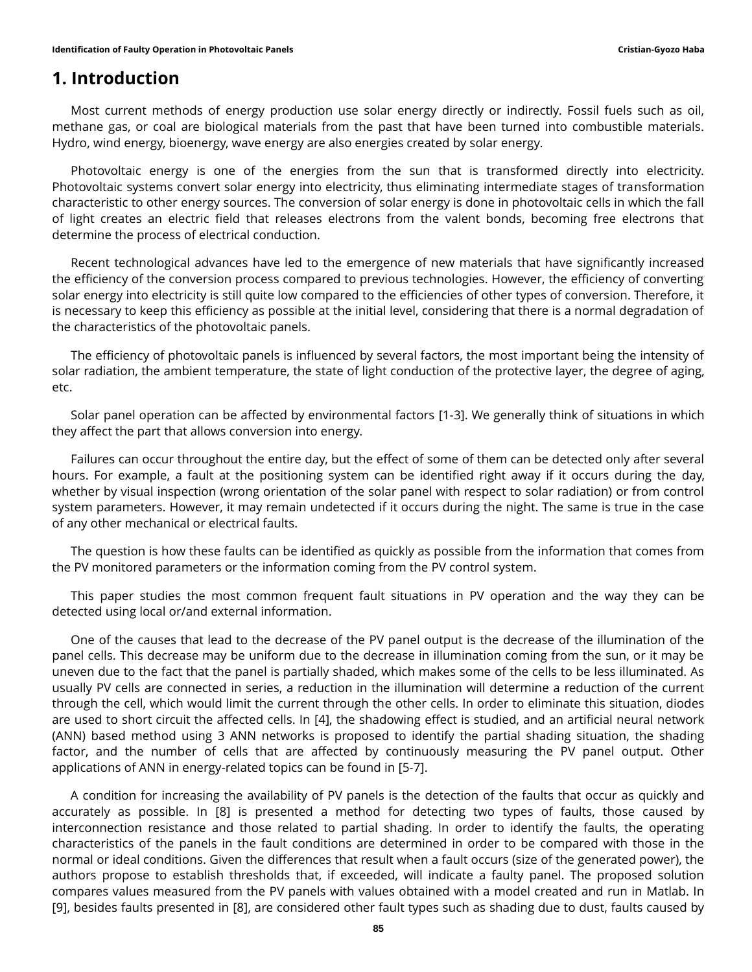## **1. Introduction**

Most current methods of energy production use solar energy directly or indirectly. Fossil fuels such as oil, methane gas, or coal are biological materials from the past that have been turned into combustible materials. Hydro, wind energy, bioenergy, wave energy are also energies created by solar energy.

Photovoltaic energy is one of the energies from the sun that is transformed directly into electricity. Photovoltaic systems convert solar energy into electricity, thus eliminating intermediate stages of transformation characteristic to other energy sources. The conversion of solar energy is done in photovoltaic cells in which the fall of light creates an electric field that releases electrons from the valent bonds, becoming free electrons that determine the process of electrical conduction.

Recent technological advances have led to the emergence of new materials that have significantly increased the efficiency of the conversion process compared to previous technologies. However, the efficiency of converting solar energy into electricity is still quite low compared to the efficiencies of other types of conversion. Therefore, it is necessary to keep this efficiency as possible at the initial level, considering that there is a normal degradation of the characteristics of the photovoltaic panels.

The efficiency of photovoltaic panels is influenced by several factors, the most important being the intensity of solar radiation, the ambient temperature, the state of light conduction of the protective layer, the degree of aging, etc.

Solar panel operation can be affected by environmental factors [1-3]. We generally think of situations in which they affect the part that allows conversion into energy.

Failures can occur throughout the entire day, but the effect of some of them can be detected only after several hours. For example, a fault at the positioning system can be identified right away if it occurs during the day, whether by visual inspection (wrong orientation of the solar panel with respect to solar radiation) or from control system parameters. However, it may remain undetected if it occurs during the night. The same is true in the case of any other mechanical or electrical faults.

The question is how these faults can be identified as quickly as possible from the information that comes from the PV monitored parameters or the information coming from the PV control system.

This paper studies the most common frequent fault situations in PV operation and the way they can be detected using local or/and external information.

One of the causes that lead to the decrease of the PV panel output is the decrease of the illumination of the panel cells. This decrease may be uniform due to the decrease in illumination coming from the sun, or it may be uneven due to the fact that the panel is partially shaded, which makes some of the cells to be less illuminated. As usually PV cells are connected in series, a reduction in the illumination will determine a reduction of the current through the cell, which would limit the current through the other cells. In order to eliminate this situation, diodes are used to short circuit the affected cells. In [4], the shadowing effect is studied, and an artificial neural network (ANN) based method using 3 ANN networks is proposed to identify the partial shading situation, the shading factor, and the number of cells that are affected by continuously measuring the PV panel output. Other applications of ANN in energy-related topics can be found in [5-7].

A condition for increasing the availability of PV panels is the detection of the faults that occur as quickly and accurately as possible. In [8] is presented a method for detecting two types of faults, those caused by interconnection resistance and those related to partial shading. In order to identify the faults, the operating characteristics of the panels in the fault conditions are determined in order to be compared with those in the normal or ideal conditions. Given the differences that result when a fault occurs (size of the generated power), the authors propose to establish thresholds that, if exceeded, will indicate a faulty panel. The proposed solution compares values measured from the PV panels with values obtained with a model created and run in Matlab. In [9], besides faults presented in [8], are considered other fault types such as shading due to dust, faults caused by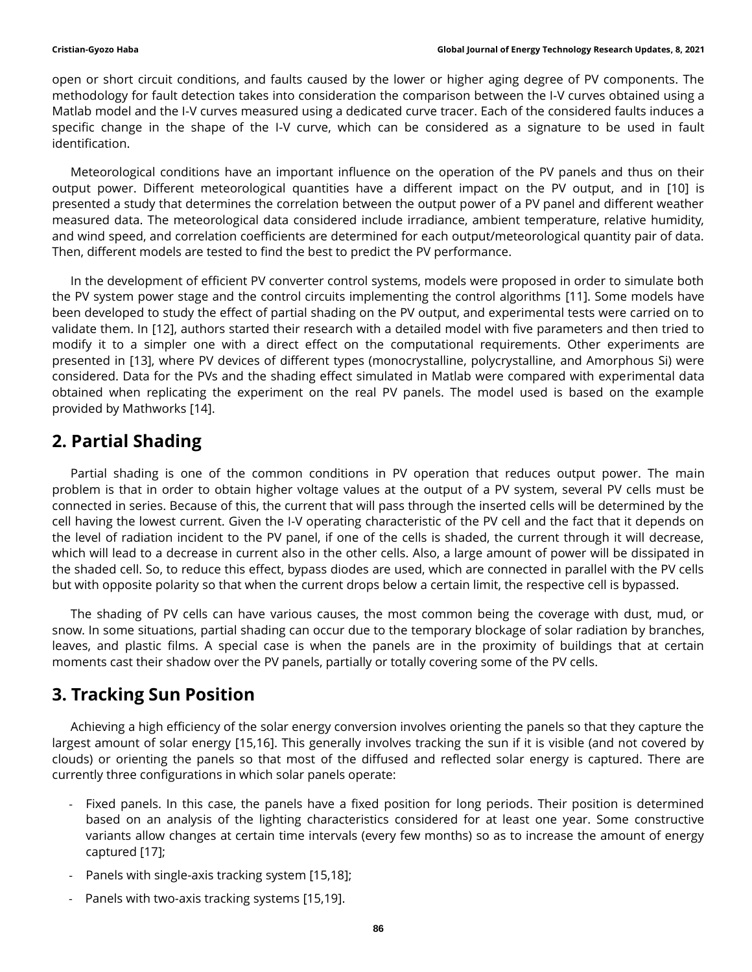open or short circuit conditions, and faults caused by the lower or higher aging degree of PV components. The methodology for fault detection takes into consideration the comparison between the I-V curves obtained using a Matlab model and the I-V curves measured using a dedicated curve tracer. Each of the considered faults induces a specific change in the shape of the I-V curve, which can be considered as a signature to be used in fault identification.

Meteorological conditions have an important influence on the operation of the PV panels and thus on their output power. Different meteorological quantities have a different impact on the PV output, and in [10] is presented a study that determines the correlation between the output power of a PV panel and different weather measured data. The meteorological data considered include irradiance, ambient temperature, relative humidity, and wind speed, and correlation coefficients are determined for each output/meteorological quantity pair of data. Then, different models are tested to find the best to predict the PV performance.

In the development of efficient PV converter control systems, models were proposed in order to simulate both the PV system power stage and the control circuits implementing the control algorithms [11]. Some models have been developed to study the effect of partial shading on the PV output, and experimental tests were carried on to validate them. In [12], authors started their research with a detailed model with five parameters and then tried to modify it to a simpler one with a direct effect on the computational requirements. Other experiments are presented in [13], where PV devices of different types (monocrystalline, polycrystalline, and Amorphous Si) were considered. Data for the PVs and the shading effect simulated in Matlab were compared with experimental data obtained when replicating the experiment on the real PV panels. The model used is based on the example provided by Mathworks [14].

# **2. Partial Shading**

Partial shading is one of the common conditions in PV operation that reduces output power. The main problem is that in order to obtain higher voltage values at the output of a PV system, several PV cells must be connected in series. Because of this, the current that will pass through the inserted cells will be determined by the cell having the lowest current. Given the I-V operating characteristic of the PV cell and the fact that it depends on the level of radiation incident to the PV panel, if one of the cells is shaded, the current through it will decrease, which will lead to a decrease in current also in the other cells. Also, a large amount of power will be dissipated in the shaded cell. So, to reduce this effect, bypass diodes are used, which are connected in parallel with the PV cells but with opposite polarity so that when the current drops below a certain limit, the respective cell is bypassed.

The shading of PV cells can have various causes, the most common being the coverage with dust, mud, or snow. In some situations, partial shading can occur due to the temporary blockage of solar radiation by branches, leaves, and plastic films. A special case is when the panels are in the proximity of buildings that at certain moments cast their shadow over the PV panels, partially or totally covering some of the PV cells.

# **3. Tracking Sun Position**

Achieving a high efficiency of the solar energy conversion involves orienting the panels so that they capture the largest amount of solar energy [15,16]. This generally involves tracking the sun if it is visible (and not covered by clouds) or orienting the panels so that most of the diffused and reflected solar energy is captured. There are currently three configurations in which solar panels operate:

- Fixed panels. In this case, the panels have a fixed position for long periods. Their position is determined based on an analysis of the lighting characteristics considered for at least one year. Some constructive variants allow changes at certain time intervals (every few months) so as to increase the amount of energy captured [17];
- Panels with single-axis tracking system [15,18];
- Panels with two-axis tracking systems [15,19].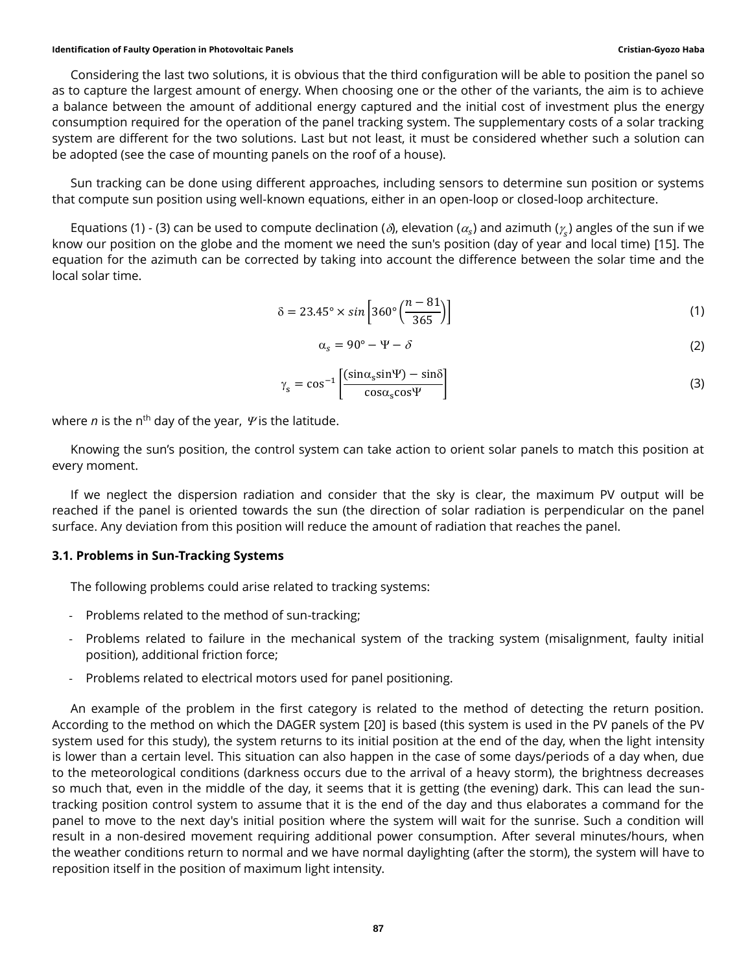#### **Identification of Faulty Operation in Photovoltaic Panels Cristian-Gyozo Haba**

Considering the last two solutions, it is obvious that the third configuration will be able to position the panel so as to capture the largest amount of energy. When choosing one or the other of the variants, the aim is to achieve a balance between the amount of additional energy captured and the initial cost of investment plus the energy consumption required for the operation of the panel tracking system. The supplementary costs of a solar tracking system are different for the two solutions. Last but not least, it must be considered whether such a solution can be adopted (see the case of mounting panels on the roof of a house).

Sun tracking can be done using different approaches, including sensors to determine sun position or systems that compute sun position using well-known equations, either in an open-loop or closed-loop architecture.

Equations (1) - (3) can be used to compute declination (*δ*), elevation ( $\alpha_{\rm s}$ ) and azimuth ( $\gamma_{\rm s}$ ) angles of the sun if we know our position on the globe and the moment we need the sun's position (day of year and local time) [15]. The know our position on the globe and the moment we need the sun's position (day of year and local time) [15]. T equation for the azimuth can be corrected by taking into account the difference between the solar time and the local solar time.

$$
\delta = 23.45^\circ \times \sin\left[360^\circ \left(\frac{n-81}{365}\right)\right] \tag{1}
$$

$$
\alpha_s = 90^\circ - \Psi - \delta \tag{2}
$$

$$
\gamma_{s} = \cos^{-1} \left[ \frac{(\sin \alpha_{s} \sin \Psi) - \sin \delta}{\cos \alpha_{s} \cos \Psi} \right]
$$
\n(3)

where  $n$  is the n<sup>th</sup> day of the year,  $\gamma$  is the latitude.

Knowing the sun's position, the control system can take action to orient solar panels to match this position at every moment.

If we neglect the dispersion radiation and consider that the sky is clear, the maximum PV output will be reached if the panel is oriented towards the sun (the direction of solar radiation is perpendicular on the panel surface. Any deviation from this position will reduce the amount of radiation that reaches the panel.

#### **3.1. Problems in Sun-Tracking Systems**

The following problems could arise related to tracking systems:

- Problems related to the method of sun-tracking;
- Problems related to failure in the mechanical system of the tracking system (misalignment, faulty initial position), additional friction force;
- Problems related to electrical motors used for panel positioning.

An example of the problem in the first category is related to the method of detecting the return position. According to the method on which the DAGER system [20] is based (this system is used in the PV panels of the PV system used for this study), the system returns to its initial position at the end of the day, when the light intensity is lower than a certain level. This situation can also happen in the case of some days/periods of a day when, due to the meteorological conditions (darkness occurs due to the arrival of a heavy storm), the brightness decreases so much that, even in the middle of the day, it seems that it is getting (the evening) dark. This can lead the suntracking position control system to assume that it is the end of the day and thus elaborates a command for the panel to move to the next day's initial position where the system will wait for the sunrise. Such a condition will result in a non-desired movement requiring additional power consumption. After several minutes/hours, when the weather conditions return to normal and we have normal daylighting (after the storm), the system will have to reposition itself in the position of maximum light intensity.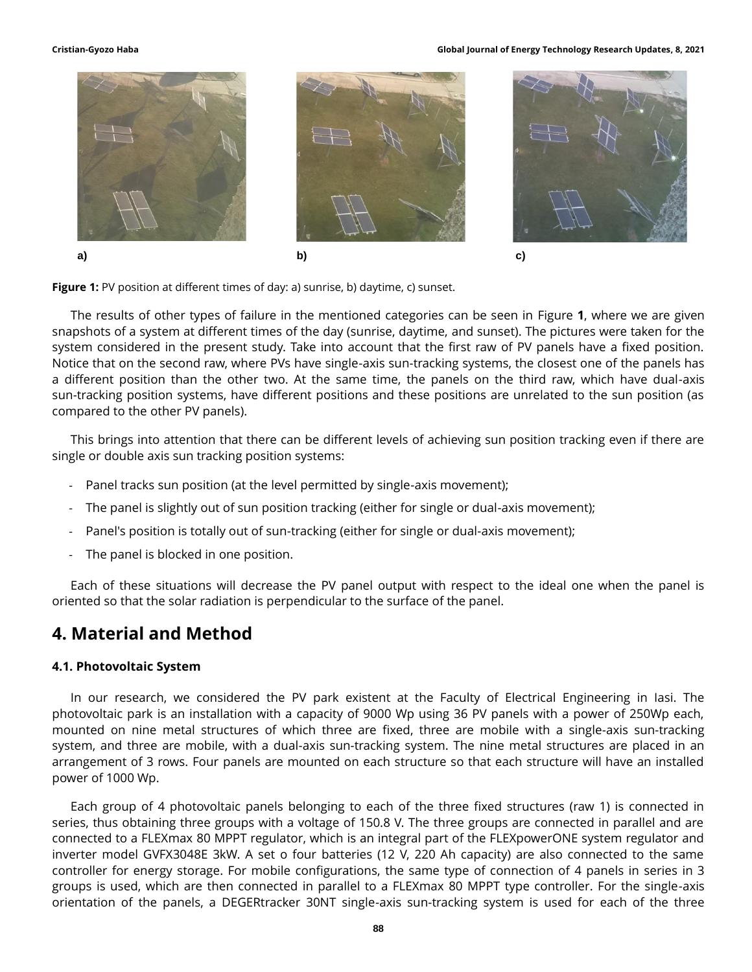#### **Cristian-Gyozo Haba Global Journal of Energy Technology Research Updates, 8, 2021**



**Figure 1:** PV position at different times of day: a) sunrise, b) daytime, c) sunset.

The results of other types of failure in the mentioned categories can be seen in Figure **1**, where we are given snapshots of a system at different times of the day (sunrise, daytime, and sunset). The pictures were taken for the system considered in the present study. Take into account that the first raw of PV panels have a fixed position. Notice that on the second raw, where PVs have single-axis sun-tracking systems, the closest one of the panels has a different position than the other two. At the same time, the panels on the third raw, which have dual-axis sun-tracking position systems, have different positions and these positions are unrelated to the sun position (as compared to the other PV panels).

This brings into attention that there can be different levels of achieving sun position tracking even if there are single or double axis sun tracking position systems:

- Panel tracks sun position (at the level permitted by single-axis movement);
- The panel is slightly out of sun position tracking (either for single or dual-axis movement);
- Panel's position is totally out of sun-tracking (either for single or dual-axis movement);
- The panel is blocked in one position.

Each of these situations will decrease the PV panel output with respect to the ideal one when the panel is oriented so that the solar radiation is perpendicular to the surface of the panel.

## **4. Material and Method**

#### **4.1. Photovoltaic System**

In our research, we considered the PV park existent at the Faculty of Electrical Engineering in Iasi. The photovoltaic park is an installation with a capacity of 9000 Wp using 36 PV panels with a power of 250Wp each, mounted on nine metal structures of which three are fixed, three are mobile with a single-axis sun-tracking system, and three are mobile, with a dual-axis sun-tracking system. The nine metal structures are placed in an arrangement of 3 rows. Four panels are mounted on each structure so that each structure will have an installed power of 1000 Wp.

Each group of 4 photovoltaic panels belonging to each of the three fixed structures (raw 1) is connected in series, thus obtaining three groups with a voltage of 150.8 V. The three groups are connected in parallel and are connected to a FLEXmax 80 MPPT regulator, which is an integral part of the FLEXpowerONE system regulator and inverter model GVFX3048E 3kW. A set o four batteries (12 V, 220 Ah capacity) are also connected to the same controller for energy storage. For mobile configurations, the same type of connection of 4 panels in series in 3 groups is used, which are then connected in parallel to a FLEXmax 80 MPPT type controller. For the single-axis orientation of the panels, a DEGERtracker 30NT single-axis sun-tracking system is used for each of the three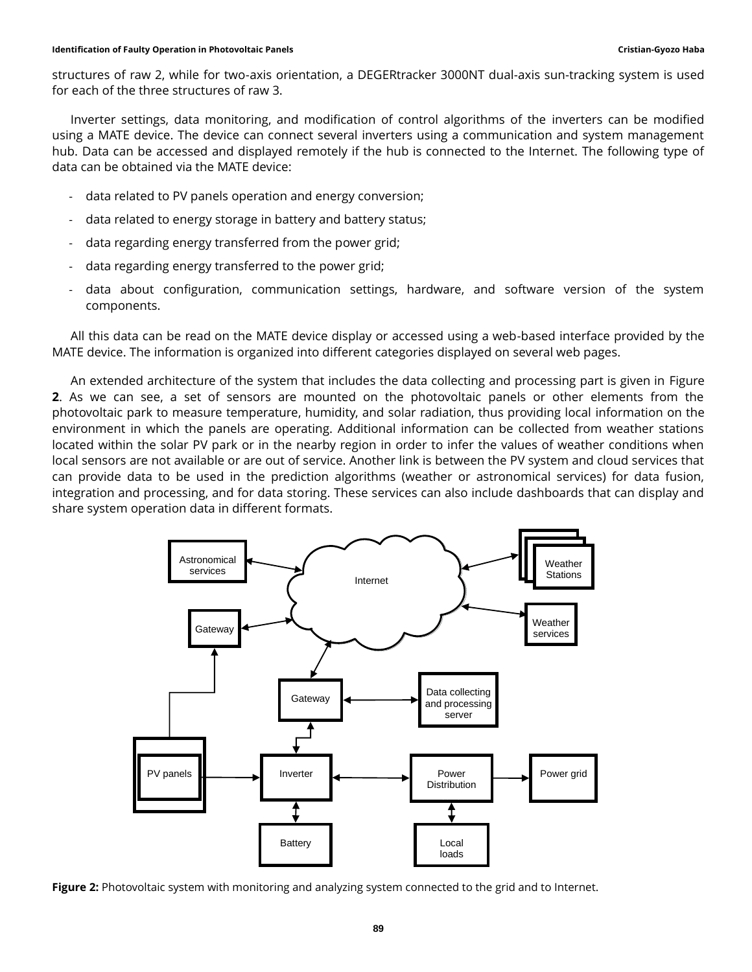structures of raw 2, while for two-axis orientation, a DEGERtracker 3000NT dual-axis sun-tracking system is used for each of the three structures of raw 3.

Inverter settings, data monitoring, and modification of control algorithms of the inverters can be modified using a MATE device. The device can connect several inverters using a communication and system management hub. Data can be accessed and displayed remotely if the hub is connected to the Internet. The following type of data can be obtained via the MATE device:

- data related to PV panels operation and energy conversion;
- data related to energy storage in battery and battery status:
- data regarding energy transferred from the power grid;
- data regarding energy transferred to the power grid;
- data about configuration, communication settings, hardware, and software version of the system components.

All this data can be read on the MATE device display or accessed using a web-based interface provided by the MATE device. The information is organized into different categories displayed on several web pages.

An extended architecture of the system that includes the data collecting and processing part is given in [Figure](#page-5-0)  **[2](#page-5-0)**. As we can see, a set of sensors are mounted on the photovoltaic panels or other elements from the photovoltaic park to measure temperature, humidity, and solar radiation, thus providing local information on the environment in which the panels are operating. Additional information can be collected from weather stations located within the solar PV park or in the nearby region in order to infer the values of weather conditions when local sensors are not available or are out of service. Another link is between the PV system and cloud services that can provide data to be used in the prediction algorithms (weather or astronomical services) for data fusion, integration and processing, and for data storing. These services can also include dashboards that can display and share system operation data in different formats.



<span id="page-5-0"></span>**Figure 2:** Photovoltaic system with monitoring and analyzing system connected to the grid and to Internet.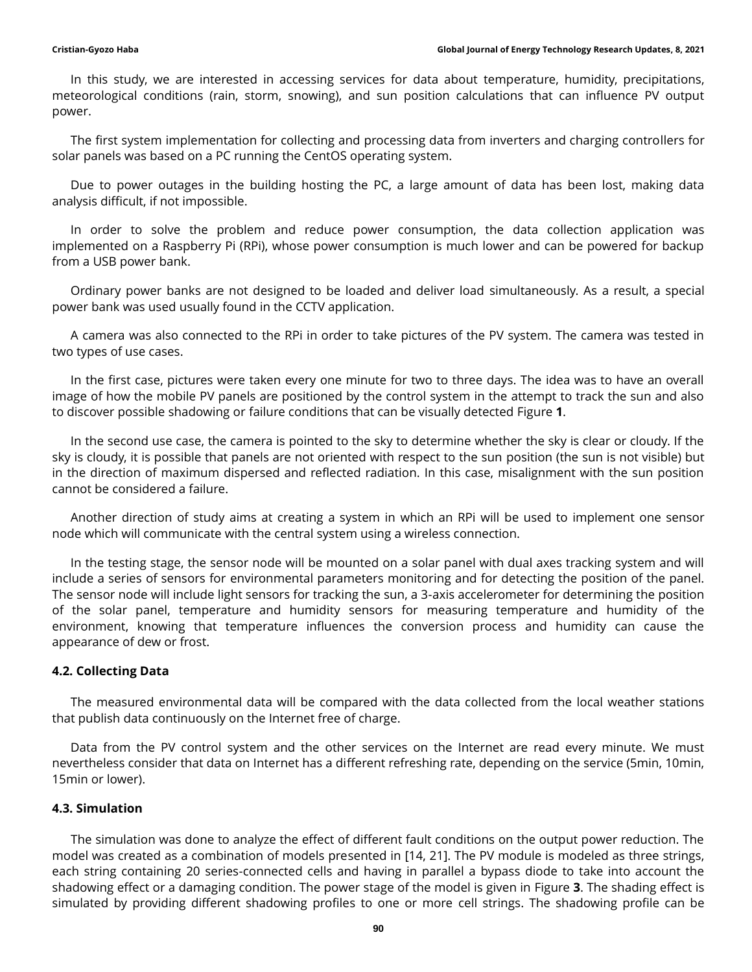In this study, we are interested in accessing services for data about temperature, humidity, precipitations, meteorological conditions (rain, storm, snowing), and sun position calculations that can influence PV output power.

The first system implementation for collecting and processing data from inverters and charging controllers for solar panels was based on a PC running the CentOS operating system.

Due to power outages in the building hosting the PC, a large amount of data has been lost, making data analysis difficult, if not impossible.

In order to solve the problem and reduce power consumption, the data collection application was implemented on a Raspberry Pi (RPi), whose power consumption is much lower and can be powered for backup from a USB power bank.

Ordinary power banks are not designed to be loaded and deliver load simultaneously. As a result, a special power bank was used usually found in the CCTV application.

A camera was also connected to the RPi in order to take pictures of the PV system. The camera was tested in two types of use cases.

In the first case, pictures were taken every one minute for two to three days. The idea was to have an overall image of how the mobile PV panels are positioned by the control system in the attempt to track the sun and also to discover possible shadowing or failure conditions that can be visually detected Figure **1**.

In the second use case, the camera is pointed to the sky to determine whether the sky is clear or cloudy. If the sky is cloudy, it is possible that panels are not oriented with respect to the sun position (the sun is not visible) but in the direction of maximum dispersed and reflected radiation. In this case, misalignment with the sun position cannot be considered a failure.

Another direction of study aims at creating a system in which an RPi will be used to implement one sensor node which will communicate with the central system using a wireless connection.

In the testing stage, the sensor node will be mounted on a solar panel with dual axes tracking system and will include a series of sensors for environmental parameters monitoring and for detecting the position of the panel. The sensor node will include light sensors for tracking the sun, a 3-axis accelerometer for determining the position of the solar panel, temperature and humidity sensors for measuring temperature and humidity of the environment, knowing that temperature influences the conversion process and humidity can cause the appearance of dew or frost.

### **4.2. Collecting Data**

The measured environmental data will be compared with the data collected from the local weather stations that publish data continuously on the Internet free of charge.

Data from the PV control system and the other services on the Internet are read every minute. We must nevertheless consider that data on Internet has a different refreshing rate, depending on the service (5min, 10min, 15min or lower).

### **4.3. Simulation**

The simulation was done to analyze the effect of different fault conditions on the output power reduction. The model was created as a combination of models presented in [14, 21]. The PV module is modeled as three strings, each string containing 20 series-connected cells and having in parallel a bypass diode to take into account the shadowing effect or a damaging condition. The power stage of the model is given in [Figure](#page-7-0) **3**. The shading effect is simulated by providing different shadowing profiles to one or more cell strings. The shadowing profile can be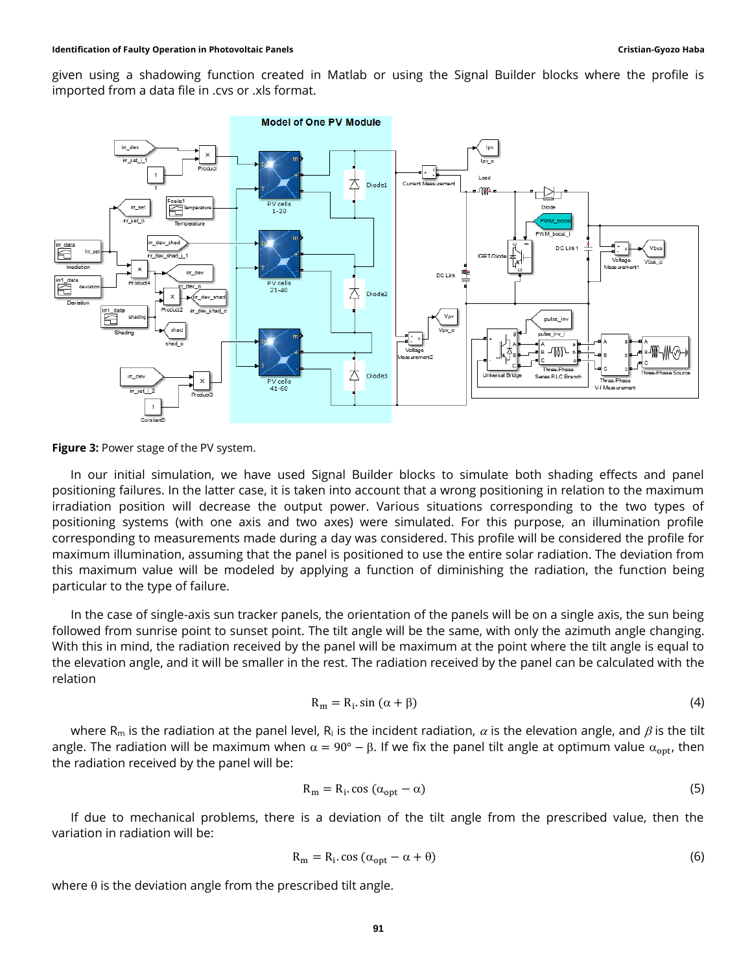given using a shadowing function created in Matlab or using the Signal Builder blocks where the profile is imported from a data file in .cvs or .xls format.



<span id="page-7-0"></span>**Figure 3:** Power stage of the PV system.

In our initial simulation, we have used Signal Builder blocks to simulate both shading effects and panel positioning failures. In the latter case, it is taken into account that a wrong positioning in relation to the maximum irradiation position will decrease the output power. Various situations corresponding to the two types of positioning systems (with one axis and two axes) were simulated. For this purpose, an illumination profile corresponding to measurements made during a day was considered. This profile will be considered the profile for maximum illumination, assuming that the panel is positioned to use the entire solar radiation. The deviation from this maximum value will be modeled by applying a function of diminishing the radiation, the function being particular to the type of failure.

In the case of single-axis sun tracker panels, the orientation of the panels will be on a single axis, the sun being followed from sunrise point to sunset point. The tilt angle will be the same, with only the azimuth angle changing. With this in mind, the radiation received by the panel will be maximum at the point where the tilt angle is equal to the elevation angle, and it will be smaller in the rest. The radiation received by the panel can be calculated with the relation

$$
R_m = R_i \sin(\alpha + \beta) \tag{4}
$$

where R<sub>m</sub> is the radiation at the panel level, R<sub>i</sub> is the incident radiation,  $\alpha$  is the elevation angle, and  $\beta$  is the tilt angle. The radiation will be maximum when  $\alpha = 90^\circ - \beta$ . If we fix the panel tilt angle at optimum value  $\alpha_{opt}$ , then the radiation received by the panel will be:

$$
R_{m} = R_{i} \cos (\alpha_{opt} - \alpha) \tag{5}
$$

If due to mechanical problems, there is a deviation of the tilt angle from the prescribed value, then the variation in radiation will be:

$$
R_m = R_i \cos \left( \alpha_{opt} - \alpha + \theta \right) \tag{6}
$$

where  $\theta$  is the deviation angle from the prescribed tilt angle.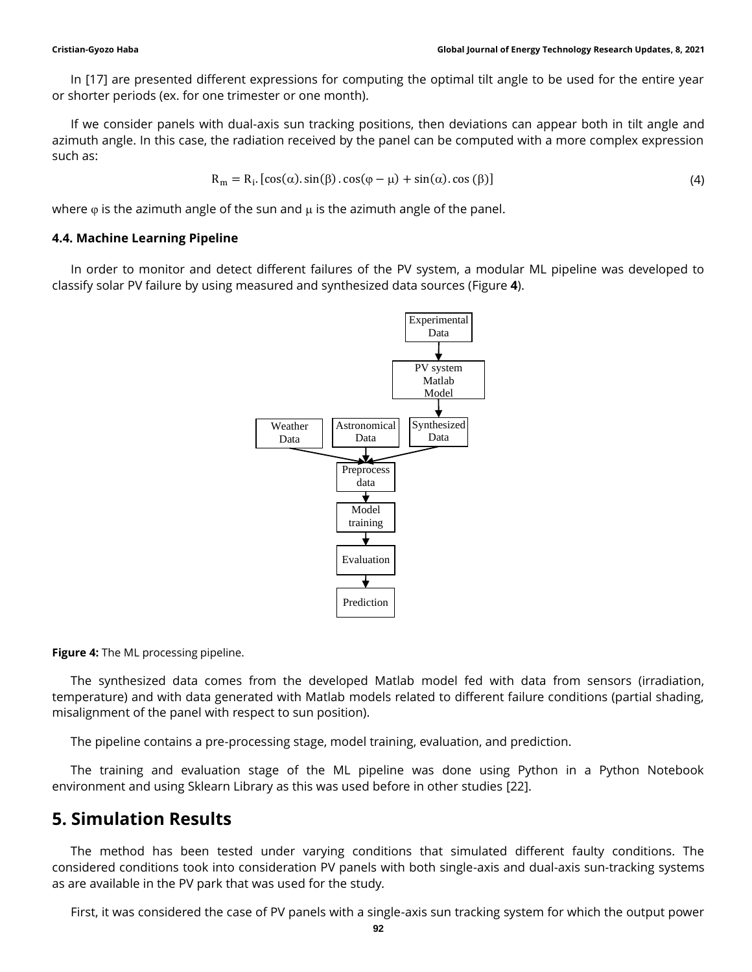In [17] are presented different expressions for computing the optimal tilt angle to be used for the entire year or shorter periods (ex. for one trimester or one month).

If we consider panels with dual-axis sun tracking positions, then deviations can appear both in tilt angle and azimuth angle. In this case, the radiation received by the panel can be computed with a more complex expression such as:

$$
R_{m} = R_{i} \cdot [\cos(\alpha) \cdot \sin(\beta) \cdot \cos(\varphi - \mu) + \sin(\alpha) \cdot \cos(\beta)] \tag{4}
$$

where  $\varphi$  is the azimuth angle of the sun and  $\mu$  is the azimuth angle of the panel.

### **4.4. Machine Learning Pipeline**

In order to monitor and detect different failures of the PV system, a modular ML pipeline was developed to classify solar PV failure by using measured and synthesized data sources [\(Figure](#page-8-0) **4**).



<span id="page-8-0"></span>**Figure 4:** The ML processing pipeline.

The synthesized data comes from the developed Matlab model fed with data from sensors (irradiation, temperature) and with data generated with Matlab models related to different failure conditions (partial shading, misalignment of the panel with respect to sun position).

The pipeline contains a pre-processing stage, model training, evaluation, and prediction.

The training and evaluation stage of the ML pipeline was done using Python in a Python Notebook environment and using Sklearn Library as this was used before in other studies [22].

# **5. Simulation Results**

The method has been tested under varying conditions that simulated different faulty conditions. The considered conditions took into consideration PV panels with both single-axis and dual-axis sun-tracking systems as are available in the PV park that was used for the study.

First, it was considered the case of PV panels with a single-axis sun tracking system for which the output power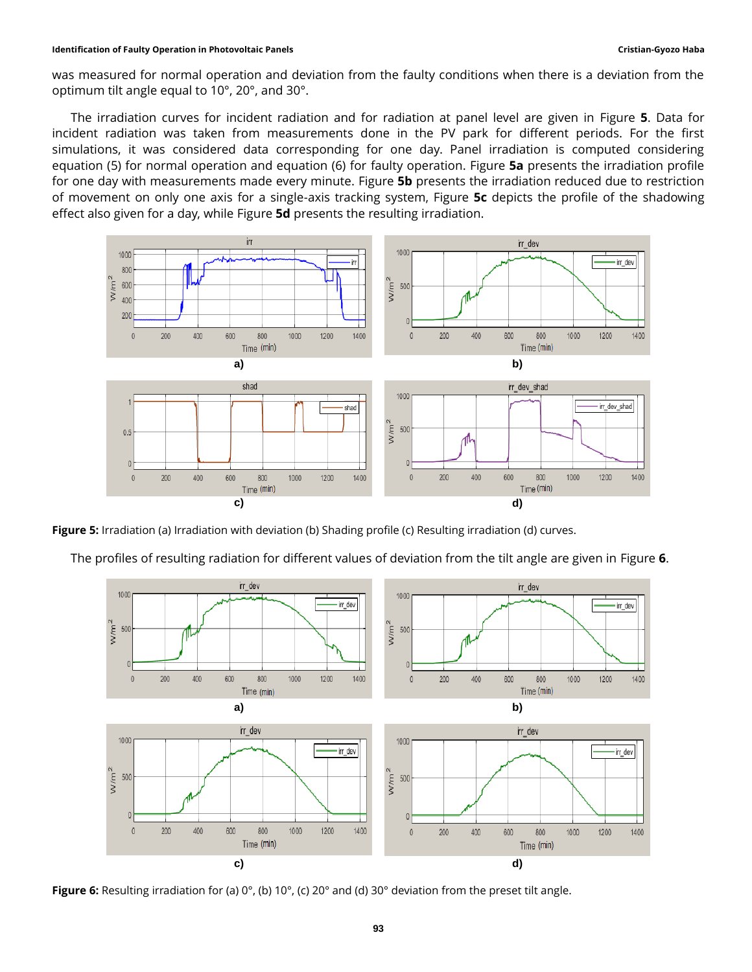#### **Identification of Faulty Operation in Photovoltaic Panels Cristian-Gyozo Haba**

was measured for normal operation and deviation from the faulty conditions when there is a deviation from the optimum tilt angle equal to 10°, 20°, and 30°.

The irradiation curves for incident radiation and for radiation at panel level are given in [Figure](#page-9-0) **5**. Data for incident radiation was taken from measurements done in the PV park for different periods. For the first simulations, it was considered data corresponding for one day. Panel irradiation is computed considering equation (5) for normal operation and equation (6) for faulty operation. [Figure](#page-9-0) **5a** presents the irradiation profile for one day with measurements made every minute. [Figure](#page-9-0) **5b** presents the irradiation reduced due to restriction of movement on only one axis for a single-axis tracking system, [Figure](#page-9-0) **5c** depicts the profile of the shadowing effect also given for a day, while [Figure](#page-9-0) **5d** presents the resulting irradiation.



<span id="page-9-0"></span>**Figure 5:** Irradiation (a) Irradiation with deviation (b) Shading profile (c) Resulting irradiation (d) curves.

The profiles of resulting radiation for different values of deviation from the tilt angle are given in [Figure](#page-9-1) **6**.



<span id="page-9-1"></span>**Figure 6:** Resulting irradiation for (a) 0°, (b) 10°, (c) 20° and (d) 30° deviation from the preset tilt angle.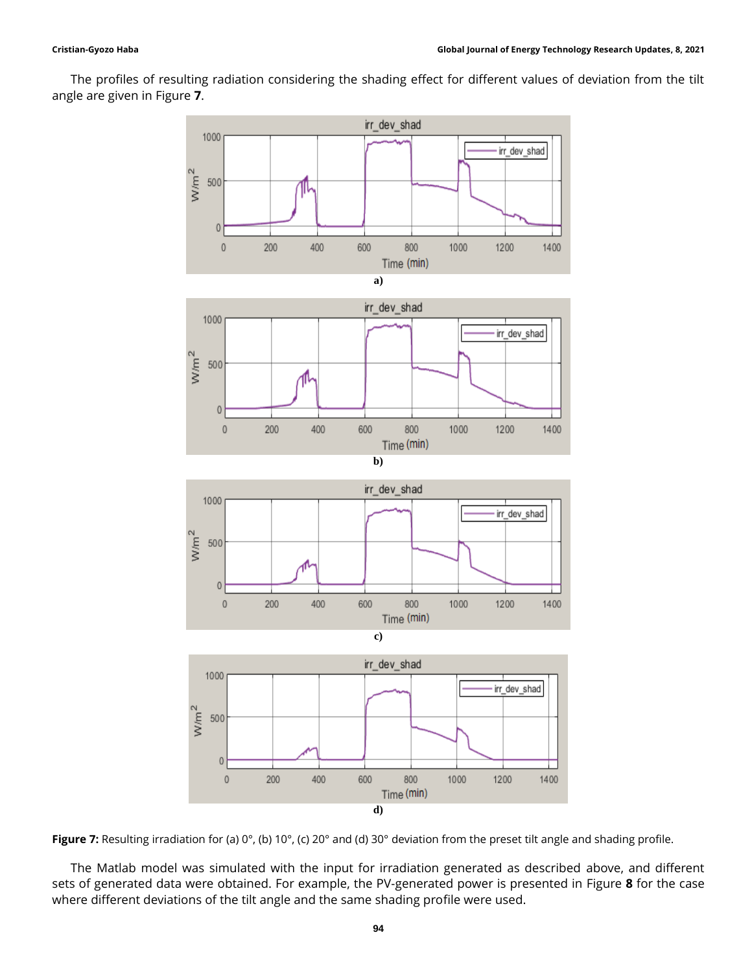The profiles of resulting radiation considering the shading effect for different values of deviation from the tilt angle are given in [Figure](#page-10-0) **7**.



<span id="page-10-0"></span>Figure 7: Resulting irradiation for (a) 0°, (b) 10°, (c) 20° and (d) 30° deviation from the preset tilt angle and shading profile.

The Matlab model was simulated with the input for irradiation generated as described above, and different sets of generated data were obtained. For example, the PV-generated power is presented in [Figure](#page-11-0) **8** for the case where different deviations of the tilt angle and the same shading profile were used.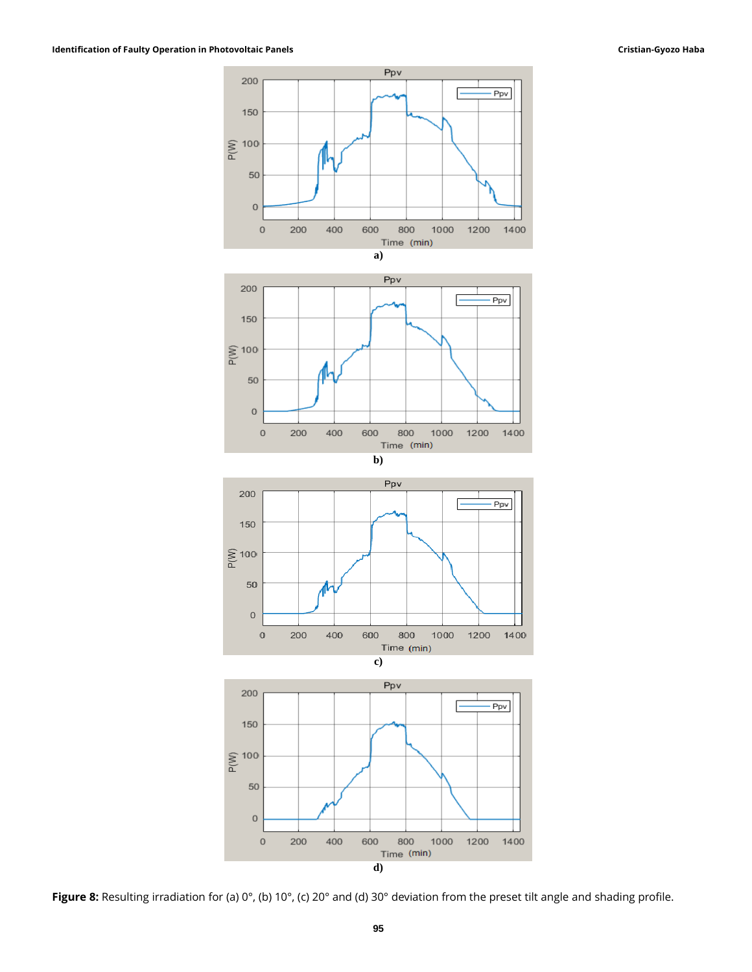

**d)**

<span id="page-11-0"></span>**Figure 8:** Resulting irradiation for (a) 0°, (b) 10°, (c) 20° and (d) 30° deviation from the preset tilt angle and shading profile.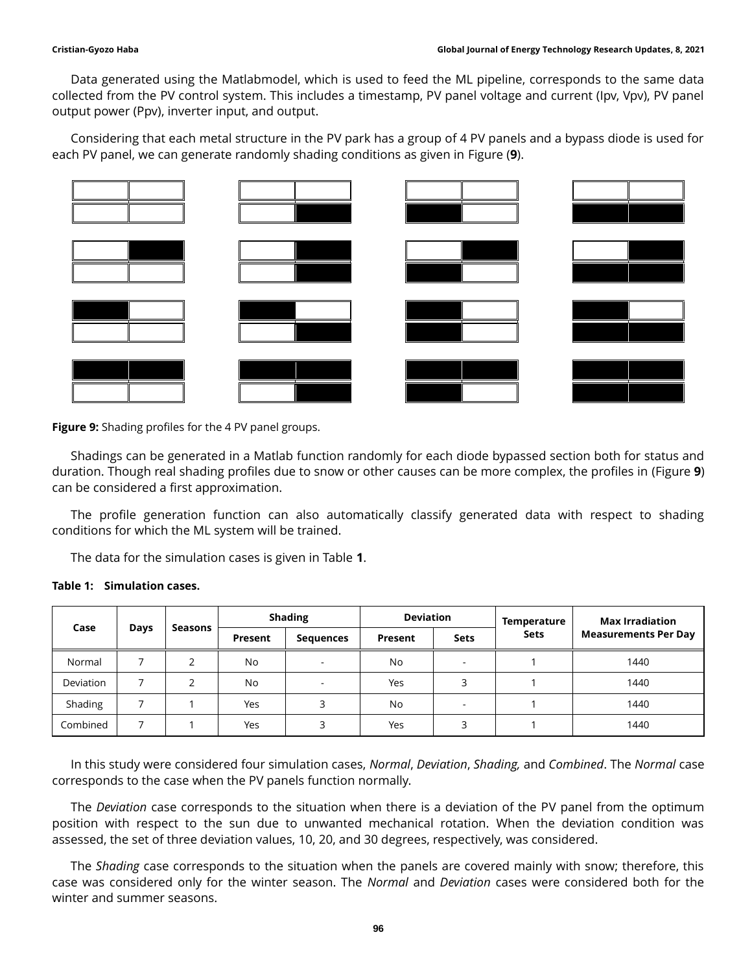Data generated using the Matlabmodel, which is used to feed the ML pipeline, corresponds to the same data collected from the PV control system. This includes a timestamp, PV panel voltage and current (Ipv, Vpv), PV panel output power (Ppv), inverter input, and output.

Considering that each metal structure in the PV park has a group of 4 PV panels and a bypass diode is used for each PV panel, we can generate randomly shading conditions as given in Figure (**9**).



**Figure 9:** Shading profiles for the 4 PV panel groups.

Shadings can be generated in a Matlab function randomly for each diode bypassed section both for status and duration. Though real shading profiles due to snow or other causes can be more complex, the profiles in (Figure **9**) can be considered a first approximation.

The profile generation function can also automatically classify generated data with respect to shading conditions for which the ML system will be trained.

The data for the simulation cases is given in Table **1**.

| Table 1: Simulation cases. |
|----------------------------|
|----------------------------|

| Case      | Days | Seasons | <b>Shading</b> |                  | <b>Deviation</b> |                          | Temperature | <b>Max Irradiation</b>      |
|-----------|------|---------|----------------|------------------|------------------|--------------------------|-------------|-----------------------------|
|           |      |         | Present        | <b>Sequences</b> | Present          | <b>Sets</b>              | <b>Sets</b> | <b>Measurements Per Day</b> |
| Normal    |      |         | <b>No</b>      |                  | No.              | -                        |             | 1440                        |
| Deviation |      |         | <b>No</b>      |                  | Yes              |                          |             | 1440                        |
| Shading   |      |         | Yes            | 3                | No               | $\overline{\phantom{a}}$ |             | 1440                        |
| Combined  |      |         | Yes            | 3                | Yes              |                          |             | 1440                        |

In this study were considered four simulation cases, *Normal*, *Deviation*, *Shading,* and *Combined*. The *Normal* case corresponds to the case when the PV panels function normally.

The *Deviation* case corresponds to the situation when there is a deviation of the PV panel from the optimum position with respect to the sun due to unwanted mechanical rotation. When the deviation condition was assessed, the set of three deviation values, 10, 20, and 30 degrees, respectively, was considered.

The *Shading* case corresponds to the situation when the panels are covered mainly with snow; therefore, this case was considered only for the winter season. The *Normal* and *Deviation* cases were considered both for the winter and summer seasons.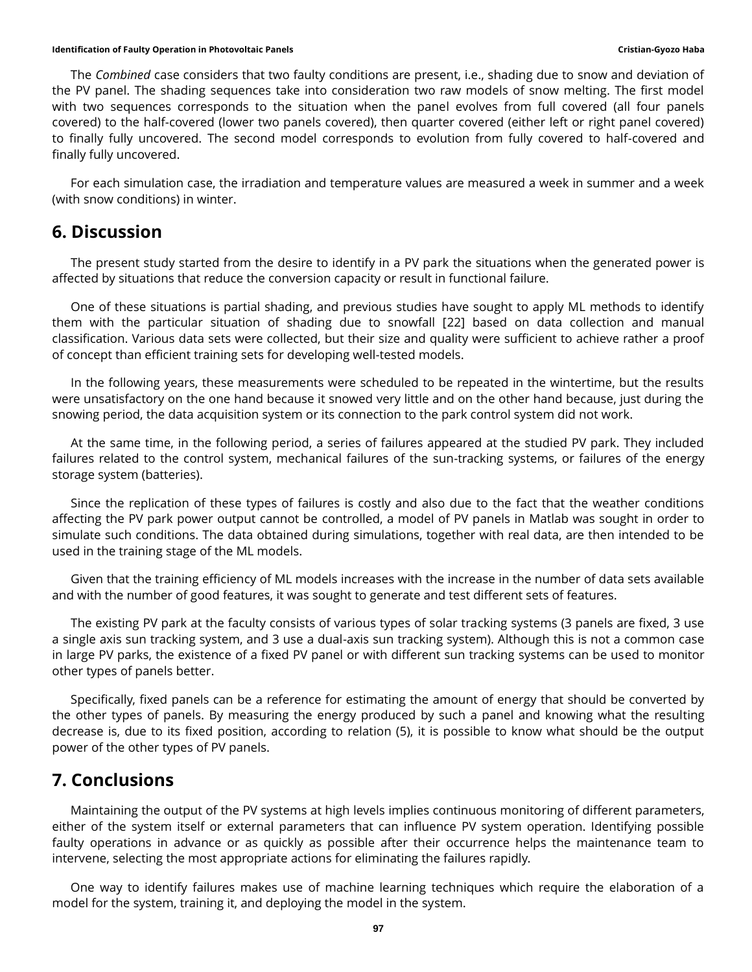The *Combined* case considers that two faulty conditions are present, i.e., shading due to snow and deviation of the PV panel. The shading sequences take into consideration two raw models of snow melting. The first model with two sequences corresponds to the situation when the panel evolves from full covered (all four panels covered) to the half-covered (lower two panels covered), then quarter covered (either left or right panel covered) to finally fully uncovered. The second model corresponds to evolution from fully covered to half-covered and finally fully uncovered.

For each simulation case, the irradiation and temperature values are measured a week in summer and a week (with snow conditions) in winter.

### **6. Discussion**

The present study started from the desire to identify in a PV park the situations when the generated power is affected by situations that reduce the conversion capacity or result in functional failure.

One of these situations is partial shading, and previous studies have sought to apply ML methods to identify them with the particular situation of shading due to snowfall [22] based on data collection and manual classification. Various data sets were collected, but their size and quality were sufficient to achieve rather a proof of concept than efficient training sets for developing well-tested models.

In the following years, these measurements were scheduled to be repeated in the wintertime, but the results were unsatisfactory on the one hand because it snowed very little and on the other hand because, just during the snowing period, the data acquisition system or its connection to the park control system did not work.

At the same time, in the following period, a series of failures appeared at the studied PV park. They included failures related to the control system, mechanical failures of the sun-tracking systems, or failures of the energy storage system (batteries).

Since the replication of these types of failures is costly and also due to the fact that the weather conditions affecting the PV park power output cannot be controlled, a model of PV panels in Matlab was sought in order to simulate such conditions. The data obtained during simulations, together with real data, are then intended to be used in the training stage of the ML models.

Given that the training efficiency of ML models increases with the increase in the number of data sets available and with the number of good features, it was sought to generate and test different sets of features.

The existing PV park at the faculty consists of various types of solar tracking systems (3 panels are fixed, 3 use a single axis sun tracking system, and 3 use a dual-axis sun tracking system). Although this is not a common case in large PV parks, the existence of a fixed PV panel or with different sun tracking systems can be used to monitor other types of panels better.

Specifically, fixed panels can be a reference for estimating the amount of energy that should be converted by the other types of panels. By measuring the energy produced by such a panel and knowing what the resulting decrease is, due to its fixed position, according to relation (5), it is possible to know what should be the output power of the other types of PV panels.

# **7. Conclusions**

Maintaining the output of the PV systems at high levels implies continuous monitoring of different parameters, either of the system itself or external parameters that can influence PV system operation. Identifying possible faulty operations in advance or as quickly as possible after their occurrence helps the maintenance team to intervene, selecting the most appropriate actions for eliminating the failures rapidly.

One way to identify failures makes use of machine learning techniques which require the elaboration of a model for the system, training it, and deploying the model in the system.